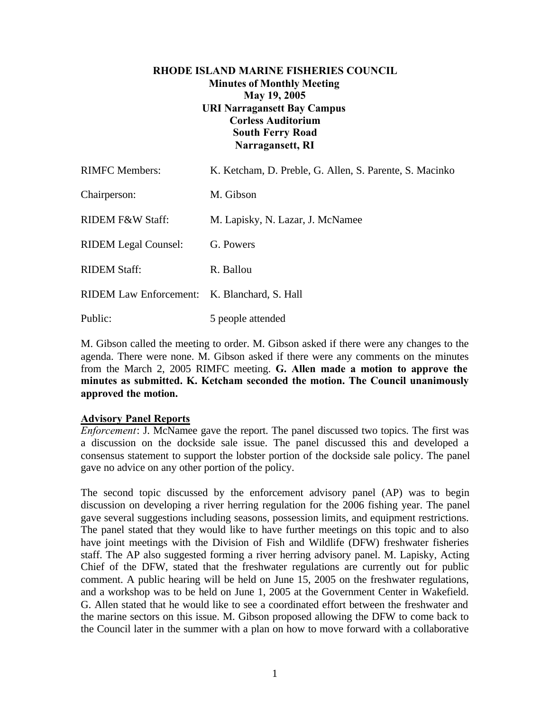## **RHODE ISLAND MARINE FISHERIES COUNCIL Minutes of Monthly Meeting May 19, 2005 URI Narragansett Bay Campus Corless Auditorium South Ferry Road Narragansett, RI**

| <b>RIMFC Members:</b>                        | K. Ketcham, D. Preble, G. Allen, S. Parente, S. Macinko |
|----------------------------------------------|---------------------------------------------------------|
| Chairperson:                                 | M. Gibson                                               |
| RIDEM F&W Staff:                             | M. Lapisky, N. Lazar, J. McNamee                        |
| <b>RIDEM Legal Counsel:</b>                  | G. Powers                                               |
| <b>RIDEM Staff:</b>                          | R. Ballou                                               |
| RIDEM Law Enforcement: K. Blanchard, S. Hall |                                                         |
| Public:                                      | 5 people attended                                       |

M. Gibson called the meeting to order. M. Gibson asked if there were any changes to the agenda. There were none. M. Gibson asked if there were any comments on the minutes from the March 2, 2005 RIMFC meeting. **G. Allen made a motion to approve the minutes as submitted. K. Ketcham seconded the motion. The Council unanimously approved the motion.**

## **Advisory Panel Reports**

*Enforcement*: J. McNamee gave the report. The panel discussed two topics. The first was a discussion on the dockside sale issue. The panel discussed this and developed a consensus statement to support the lobster portion of the dockside sale policy. The panel gave no advice on any other portion of the policy.

The second topic discussed by the enforcement advisory panel (AP) was to begin discussion on developing a river herring regulation for the 2006 fishing year. The panel gave several suggestions including seasons, possession limits, and equipment restrictions. The panel stated that they would like to have further meetings on this topic and to also have joint meetings with the Division of Fish and Wildlife (DFW) freshwater fisheries staff. The AP also suggested forming a river herring advisory panel. M. Lapisky, Acting Chief of the DFW, stated that the freshwater regulations are currently out for public comment. A public hearing will be held on June 15, 2005 on the freshwater regulations, and a workshop was to be held on June 1, 2005 at the Government Center in Wakefield. G. Allen stated that he would like to see a coordinated effort between the freshwater and the marine sectors on this issue. M. Gibson proposed allowing the DFW to come back to the Council later in the summer with a plan on how to move forward with a collaborative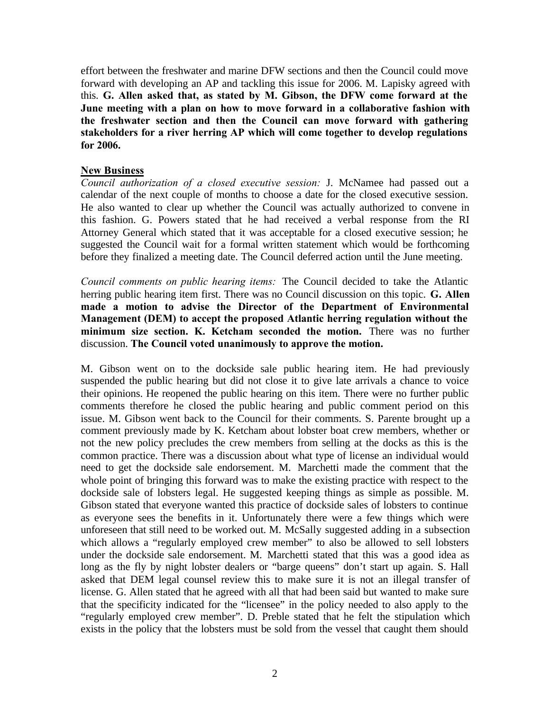effort between the freshwater and marine DFW sections and then the Council could move forward with developing an AP and tackling this issue for 2006. M. Lapisky agreed with this. **G. Allen asked that, as stated by M. Gibson, the DFW come forward at the June meeting with a plan on how to move forward in a collaborative fashion with the freshwater section and then the Council can move forward with gathering stakeholders for a river herring AP which will come together to develop regulations for 2006.**

## **New Business**

*Council authorization of a closed executive session:* J. McNamee had passed out a calendar of the next couple of months to choose a date for the closed executive session. He also wanted to clear up whether the Council was actually authorized to convene in this fashion. G. Powers stated that he had received a verbal response from the RI Attorney General which stated that it was acceptable for a closed executive session; he suggested the Council wait for a formal written statement which would be forthcoming before they finalized a meeting date. The Council deferred action until the June meeting.

*Council comments on public hearing items:* The Council decided to take the Atlantic herring public hearing item first. There was no Council discussion on this topic. **G. Allen made a motion to advise the Director of the Department of Environmental Management (DEM) to accept the proposed Atlantic herring regulation without the minimum size section. K. Ketcham seconded the motion.** There was no further discussion. **The Council voted unanimously to approve the motion.**

M. Gibson went on to the dockside sale public hearing item. He had previously suspended the public hearing but did not close it to give late arrivals a chance to voice their opinions. He reopened the public hearing on this item. There were no further public comments therefore he closed the public hearing and public comment period on this issue. M. Gibson went back to the Council for their comments. S. Parente brought up a comment previously made by K. Ketcham about lobster boat crew members, whether or not the new policy precludes the crew members from selling at the docks as this is the common practice. There was a discussion about what type of license an individual would need to get the dockside sale endorsement. M. Marchetti made the comment that the whole point of bringing this forward was to make the existing practice with respect to the dockside sale of lobsters legal. He suggested keeping things as simple as possible. M. Gibson stated that everyone wanted this practice of dockside sales of lobsters to continue as everyone sees the benefits in it. Unfortunately there were a few things which were unforeseen that still need to be worked out. M. McSally suggested adding in a subsection which allows a "regularly employed crew member" to also be allowed to sell lobsters under the dockside sale endorsement. M. Marchetti stated that this was a good idea as long as the fly by night lobster dealers or "barge queens" don't start up again. S. Hall asked that DEM legal counsel review this to make sure it is not an illegal transfer of license. G. Allen stated that he agreed with all that had been said but wanted to make sure that the specificity indicated for the "licensee" in the policy needed to also apply to the "regularly employed crew member". D. Preble stated that he felt the stipulation which exists in the policy that the lobsters must be sold from the vessel that caught them should